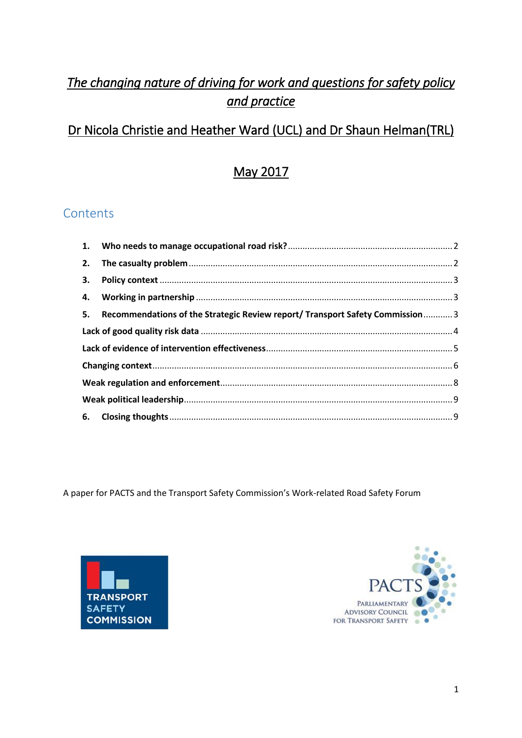# *The changing nature of driving for work and questions for safety policy and practice*

# Dr Nicola Christie and Heather Ward (UCL) and Dr Shaun Helman(TRL)

# May 2017

# **Contents**

| 2. |                                                                               |  |
|----|-------------------------------------------------------------------------------|--|
| 3. |                                                                               |  |
|    |                                                                               |  |
| 5. | Recommendations of the Strategic Review report/ Transport Safety Commission 3 |  |
|    |                                                                               |  |
|    |                                                                               |  |
|    |                                                                               |  |
|    |                                                                               |  |
|    |                                                                               |  |
|    |                                                                               |  |

A paper for PACTS and the Transport Safety Commission's Work-related Road Safety Forum



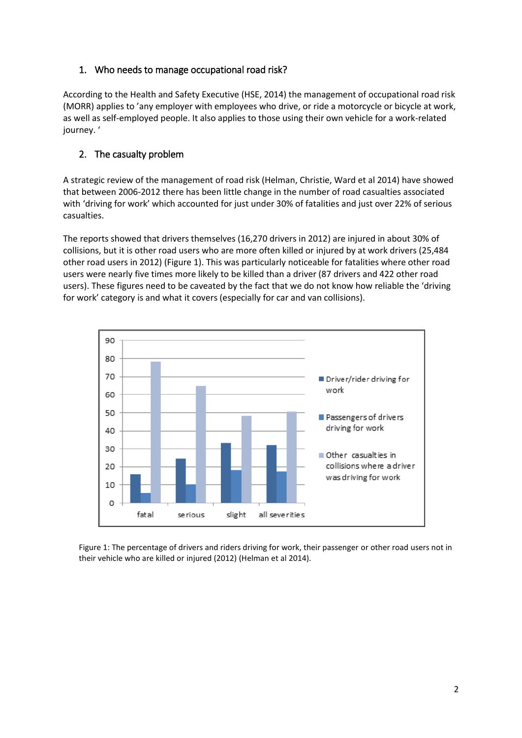# <span id="page-1-0"></span>1. Who needs to manage occupational road risk?

According to the Health and Safety Executive (HSE, 2014) the management of occupational road risk (MORR) applies to 'any employer with employees who drive, or ride a motorcycle or bicycle at work, as well as self-employed people. It also applies to those using their own vehicle for a work-related journey. '

# <span id="page-1-1"></span>2. The casualty problem

A strategic review of the management of road risk (Helman, Christie, Ward et al 2014) have showed that between 2006-2012 there has been little change in the number of road casualties associated with 'driving for work' which accounted for just under 30% of fatalities and just over 22% of serious casualties.

The reports showed that drivers themselves (16,270 drivers in 2012) are injured in about 30% of collisions, but it is other road users who are more often killed or injured by at work drivers (25,484 other road users in 2012) (Figure 1). This was particularly noticeable for fatalities where other road users were nearly five times more likely to be killed than a driver (87 drivers and 422 other road users). These figures need to be caveated by the fact that we do not know how reliable the 'driving for work' category is and what it covers (especially for car and van collisions).



<span id="page-1-2"></span>Figure 1: The percentage of drivers and riders driving for work, their passenger or other road users not in their vehicle who are killed or injured (2012) (Helman et al 2014).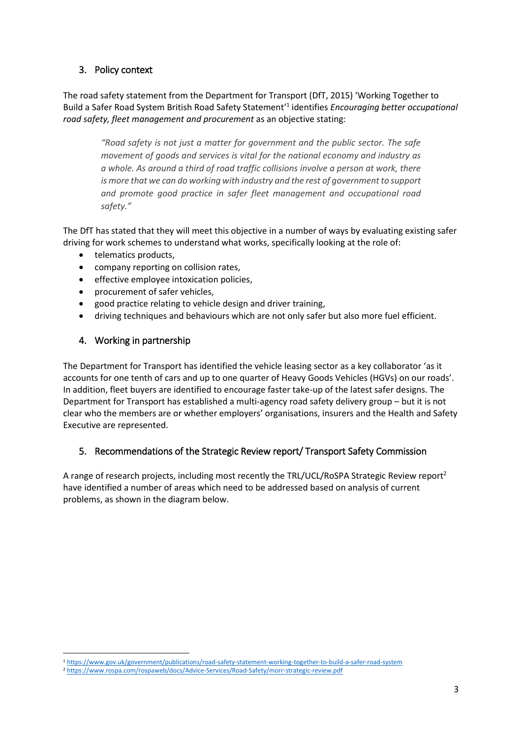# 3. Policy context

The road safety statement from the Department for Transport (DfT, 2015) 'Working Together to Build a Safer Road System British Road Safety Statement' 1 identifies *Encouraging better occupational road safety, fleet management and procurement* as an objective stating:

*"Road safety is not just a matter for government and the public sector. The safe movement of goods and services is vital for the national economy and industry as a whole. As around a third of road traffic collisions involve a person at work, there is more that we can do working with industry and the rest of government to support and promote good practice in safer fleet management and occupational road safety."*

The DfT has stated that they will meet this objective in a number of ways by evaluating existing safer driving for work schemes to understand what works, specifically looking at the role of:

- telematics products,
- company reporting on collision rates,
- **•** effective employee intoxication policies,
- procurement of safer vehicles,
- good practice relating to vehicle design and driver training,
- driving techniques and behaviours which are not only safer but also more fuel efficient.

## <span id="page-2-0"></span>4. Working in partnership

The Department for Transport has identified the vehicle leasing sector as a key collaborator 'as it accounts for one tenth of cars and up to one quarter of Heavy Goods Vehicles (HGVs) on our roads'. In addition, fleet buyers are identified to encourage faster take-up of the latest safer designs. The Department for Transport has established a multi-agency road safety delivery group – but it is not clear who the members are or whether employers' organisations, insurers and the Health and Safety Executive are represented.

## <span id="page-2-1"></span>5. Recommendations of the Strategic Review report/ Transport Safety Commission

A range of research projects, including most recently the TRL/UCL/RoSPA Strategic Review report<sup>2</sup> have identified a number of areas which need to be addressed based on analysis of current problems, as shown in the diagram below.

<sup>1</sup> <sup>1</sup> <https://www.gov.uk/government/publications/road-safety-statement-working-together-to-build-a-safer-road-system>

<sup>2</sup> <https://www.rospa.com/rospaweb/docs/Advice-Services/Road-Safety/morr-strategic-review.pdf>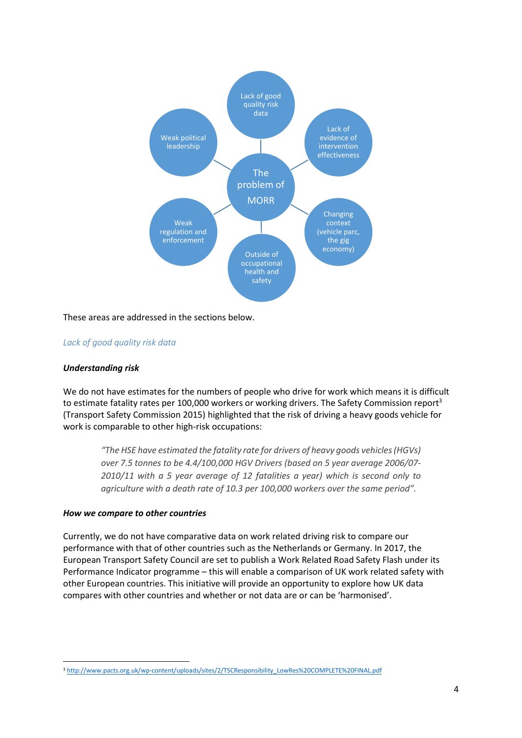

These areas are addressed in the sections below.

#### <span id="page-3-0"></span>*Lack of good quality risk data*

#### *Understanding risk*

We do not have estimates for the numbers of people who drive for work which means it is difficult to estimate fatality rates per 100,000 workers or working drivers. The Safety Commission report<sup>3</sup> (Transport Safety Commission 2015) highlighted that the risk of driving a heavy goods vehicle for work is comparable to other high-risk occupations:

*"The HSE have estimated the fatality rate for drivers of heavy goods vehicles (HGVs) over 7.5 tonnes to be 4.4/100,000 HGV Drivers (based on 5 year average 2006/07- 2010/11 with a 5 year average of 12 fatalities a year) which is second only to agriculture with a death rate of 10.3 per 100,000 workers over the same period".* 

#### *How we compare to other countries*

Currently, we do not have comparative data on work related driving risk to compare our performance with that of other countries such as the Netherlands or Germany. In 2017, the European Transport Safety Council are set to publish a Work Related Road Safety Flash under its Performance Indicator programme – this will enable a comparison of UK work related safety with other European countries. This initiative will provide an opportunity to explore how UK data compares with other countries and whether or not data are or can be 'harmonised'.

 $\overline{a}$ <sup>3</sup> [http://www.pacts.org.uk/wp-content/uploads/sites/2/TSCResponsibility\\_LowRes%20COMPLETE%20FINAL.pdf](http://www.pacts.org.uk/wp-content/uploads/sites/2/TSCResponsibility_LowRes%20COMPLETE%20FINAL.pdf)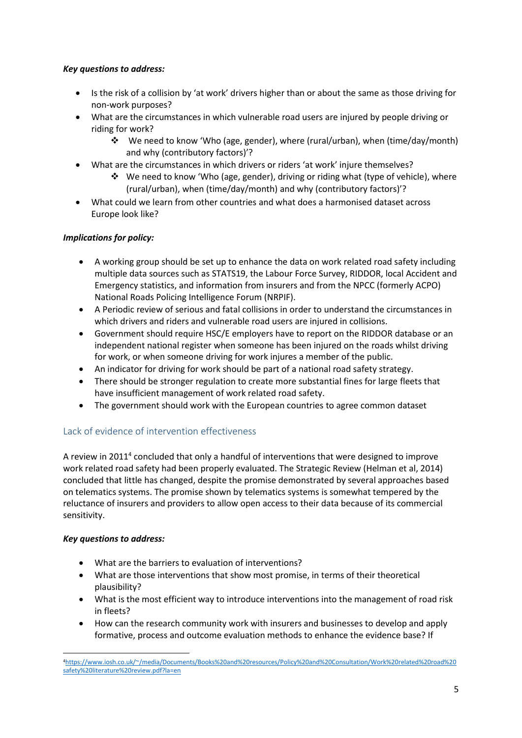## *Key questions to address:*

- Is the risk of a collision by 'at work' drivers higher than or about the same as those driving for non-work purposes?
- What are the circumstances in which vulnerable road users are injured by people driving or riding for work?
	- We need to know 'Who (age, gender), where (rural/urban), when (time/day/month) and why (contributory factors)'?
- What are the circumstances in which drivers or riders 'at work' injure themselves?
	- $\div$  We need to know 'Who (age, gender), driving or riding what (type of vehicle), where (rural/urban), when (time/day/month) and why (contributory factors)'?
- What could we learn from other countries and what does a harmonised dataset across Europe look like?

## *Implications for policy:*

- A working group should be set up to enhance the data on work related road safety including multiple data sources such as STATS19, the Labour Force Survey, RIDDOR, local Accident and Emergency statistics, and information from insurers and from the NPCC (formerly ACPO) National Roads Policing Intelligence Forum (NRPIF).
- A Periodic review of serious and fatal collisions in order to understand the circumstances in which drivers and riders and vulnerable road users are injured in collisions.
- Government should require HSC/E employers have to report on the RIDDOR database or an independent national register when someone has been injured on the roads whilst driving for work, or when someone driving for work injures a member of the public.
- An indicator for driving for work should be part of a national road safety strategy.
- There should be stronger regulation to create more substantial fines for large fleets that have insufficient management of work related road safety.
- The government should work with the European countries to agree common dataset

## <span id="page-4-0"></span>Lack of evidence of intervention effectiveness

A review in 2011<sup>4</sup> concluded that only a handful of interventions that were designed to improve work related road safety had been properly evaluated. The Strategic Review (Helman et al, 2014) concluded that little has changed, despite the promise demonstrated by several approaches based on telematics systems. The promise shown by telematics systems is somewhat tempered by the reluctance of insurers and providers to allow open access to their data because of its commercial sensitivity.

## *Key questions to address:*

- What are the barriers to evaluation of interventions?
- What are those interventions that show most promise, in terms of their theoretical plausibility?
- What is the most efficient way to introduce interventions into the management of road risk in fleets?
- How can the research community work with insurers and businesses to develop and apply formative, process and outcome evaluation methods to enhance the evidence base? If

<sup>1</sup> <sup>4</sup>[https://www.iosh.co.uk/~/media/Documents/Books%20and%20resources/Policy%20and%20Consultation/Work%20related%20road%20](https://www.iosh.co.uk/~/media/Documents/Books%20and%20resources/Policy%20and%20Consultation/Work%20related%20road%20safety%20literature%20review.pdf?la=en) [safety%20literature%20review.pdf?la=en](https://www.iosh.co.uk/~/media/Documents/Books%20and%20resources/Policy%20and%20Consultation/Work%20related%20road%20safety%20literature%20review.pdf?la=en)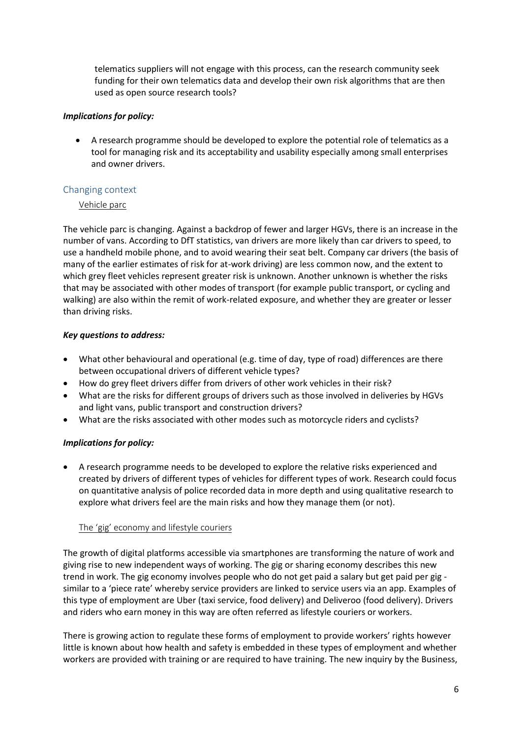telematics suppliers will not engage with this process, can the research community seek funding for their own telematics data and develop their own risk algorithms that are then used as open source research tools?

#### *Implications for policy:*

 A research programme should be developed to explore the potential role of telematics as a tool for managing risk and its acceptability and usability especially among small enterprises and owner drivers.

## <span id="page-5-0"></span>Changing context

## Vehicle parc

The vehicle parc is changing. Against a backdrop of fewer and larger HGVs, there is an increase in the number of vans. According to DfT statistics, van drivers are more likely than car drivers to speed, to use a handheld mobile phone, and to avoid wearing their seat belt. Company car drivers (the basis of many of the earlier estimates of risk for at-work driving) are less common now, and the extent to which grey fleet vehicles represent greater risk is unknown. Another unknown is whether the risks that may be associated with other modes of transport (for example public transport, or cycling and walking) are also within the remit of work-related exposure, and whether they are greater or lesser than driving risks.

## *Key questions to address:*

- What other behavioural and operational (e.g. time of day, type of road) differences are there between occupational drivers of different vehicle types?
- How do grey fleet drivers differ from drivers of other work vehicles in their risk?
- What are the risks for different groups of drivers such as those involved in deliveries by HGVs and light vans, public transport and construction drivers?
- What are the risks associated with other modes such as motorcycle riders and cyclists?

## *Implications for policy:*

 A research programme needs to be developed to explore the relative risks experienced and created by drivers of different types of vehicles for different types of work. Research could focus on quantitative analysis of police recorded data in more depth and using qualitative research to explore what drivers feel are the main risks and how they manage them (or not).

## The 'gig' economy and lifestyle couriers

The growth of digital platforms accessible via smartphones are transforming the nature of work and giving rise to new independent ways of working. The gig or sharing economy describes this new trend in work. The gig economy involves people who do not get paid a salary but get paid per gig similar to a 'piece rate' whereby service providers are linked to service users via an app. Examples of this type of employment are Uber (taxi service, food delivery) and Deliveroo (food delivery). Drivers and riders who earn money in this way are often referred as lifestyle couriers or workers.

There is growing action to regulate these forms of employment to provide workers' rights however little is known about how health and safety is embedded in these types of employment and whether workers are provided with training or are required to have training. The new inquiry by the Business,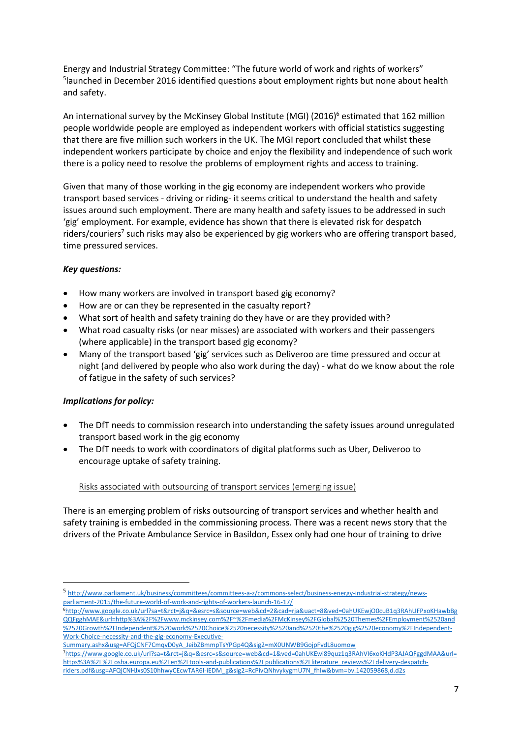Energy and Industrial Strategy Committee: "The future world of work and rights of workers" 5 launched in December 2016 identified questions about employment rights but none about health and safety.

An international survey by the McKinsey Global Institute (MGI) (2016)<sup>6</sup> estimated that 162 million people worldwide people are employed as independent workers with official statistics suggesting that there are five million such workers in the UK. The MGI report concluded that whilst these independent workers participate by choice and enjoy the flexibility and independence of such work there is a policy need to resolve the problems of employment rights and access to training.

Given that many of those working in the gig economy are independent workers who provide transport based services - driving or riding- it seems critical to understand the health and safety issues around such employment. There are many health and safety issues to be addressed in such 'gig' employment. For example, evidence has shown that there is elevated risk for despatch riders/couriers<sup>7</sup> such risks may also be experienced by gig workers who are offering transport based, time pressured services.

## *Key questions:*

- How many workers are involved in transport based gig economy?
- How are or can they be represented in the casualty report?
- What sort of health and safety training do they have or are they provided with?
- What road casualty risks (or near misses) are associated with workers and their passengers (where applicable) in the transport based gig economy?
- Many of the transport based 'gig' services such as Deliveroo are time pressured and occur at night (and delivered by people who also work during the day) - what do we know about the role of fatigue in the safety of such services?

## *Implications for policy:*

1

- The DfT needs to commission research into understanding the safety issues around unregulated transport based work in the gig economy
- The DfT needs to work with coordinators of digital platforms such as Uber, Deliveroo to encourage uptake of safety training.

#### Risks associated with outsourcing of transport services (emerging issue)

There is an emerging problem of risks outsourcing of transport services and whether health and safety training is embedded in the commissioning process. There was a recent news story that the drivers of the Private Ambulance Service in Basildon, Essex only had one hour of training to drive

<sup>5</sup> [http://www.parliament.uk/business/committees/committees-a-z/commons-select/business-energy-industrial-strategy/news](http://www.parliament.uk/business/committees/committees-a-z/commons-select/business-energy-industrial-strategy/news-parliament-2015/the-future-world-of-work-and-rights-of-workers-launch-16-17/)[parliament-2015/the-future-world-of-work-and-rights-of-workers-launch-16-17/](http://www.parliament.uk/business/committees/committees-a-z/commons-select/business-energy-industrial-strategy/news-parliament-2015/the-future-world-of-work-and-rights-of-workers-launch-16-17/)

<sup>6</sup>[http://www.google.co.uk/url?sa=t&rct=j&q=&esrc=s&source=web&cd=2&cad=rja&uact=8&ved=0ahUKEwjO0cuB1q3RAhUFPxoKHawbBg](http://www.google.co.uk/url?sa=t&rct=j&q=&esrc=s&source=web&cd=2&cad=rja&uact=8&ved=0ahUKEwjO0cuB1q3RAhUFPxoKHawbBgQQFgghMAE&url=http%3A%2F%2Fwww.mckinsey.com%2F~%2Fmedia%2FMcKinsey%2FGlobal%2520Themes%2FEmployment%2520and%2520Growth%2FIndependent%2520work%2520Choice%2520necessity%2520and%2520the%2520gig%2520economy%2FIndependent-Work-Choice-necessity-and-the-gig-economy-Executive-Summary.ashx&usg=AFQjCNF7CmqvD0yA_JeibZBmmpTsYPGp4Q&sig2=mX0UNWB9GojpFvdL8uomow) [QQFgghMAE&url=http%3A%2F%2Fwww.mckinsey.com%2F~%2Fmedia%2FMcKinsey%2FGlobal%2520Themes%2FEmployment%2520and](http://www.google.co.uk/url?sa=t&rct=j&q=&esrc=s&source=web&cd=2&cad=rja&uact=8&ved=0ahUKEwjO0cuB1q3RAhUFPxoKHawbBgQQFgghMAE&url=http%3A%2F%2Fwww.mckinsey.com%2F~%2Fmedia%2FMcKinsey%2FGlobal%2520Themes%2FEmployment%2520and%2520Growth%2FIndependent%2520work%2520Choice%2520necessity%2520and%2520the%2520gig%2520economy%2FIndependent-Work-Choice-necessity-and-the-gig-economy-Executive-Summary.ashx&usg=AFQjCNF7CmqvD0yA_JeibZBmmpTsYPGp4Q&sig2=mX0UNWB9GojpFvdL8uomow) [%2520Growth%2FIndependent%2520work%2520Choice%2520necessity%2520and%2520the%2520gig%2520economy%2FIndependent-](http://www.google.co.uk/url?sa=t&rct=j&q=&esrc=s&source=web&cd=2&cad=rja&uact=8&ved=0ahUKEwjO0cuB1q3RAhUFPxoKHawbBgQQFgghMAE&url=http%3A%2F%2Fwww.mckinsey.com%2F~%2Fmedia%2FMcKinsey%2FGlobal%2520Themes%2FEmployment%2520and%2520Growth%2FIndependent%2520work%2520Choice%2520necessity%2520and%2520the%2520gig%2520economy%2FIndependent-Work-Choice-necessity-and-the-gig-economy-Executive-Summary.ashx&usg=AFQjCNF7CmqvD0yA_JeibZBmmpTsYPGp4Q&sig2=mX0UNWB9GojpFvdL8uomow)[Work-Choice-necessity-and-the-gig-economy-Executive-](http://www.google.co.uk/url?sa=t&rct=j&q=&esrc=s&source=web&cd=2&cad=rja&uact=8&ved=0ahUKEwjO0cuB1q3RAhUFPxoKHawbBgQQFgghMAE&url=http%3A%2F%2Fwww.mckinsey.com%2F~%2Fmedia%2FMcKinsey%2FGlobal%2520Themes%2FEmployment%2520and%2520Growth%2FIndependent%2520work%2520Choice%2520necessity%2520and%2520the%2520gig%2520economy%2FIndependent-Work-Choice-necessity-and-the-gig-economy-Executive-Summary.ashx&usg=AFQjCNF7CmqvD0yA_JeibZBmmpTsYPGp4Q&sig2=mX0UNWB9GojpFvdL8uomow)

[Summary.ashx&usg=AFQjCNF7CmqvD0yA\\_JeibZBmmpTsYPGp4Q&sig2=mX0UNWB9GojpFvdL8uomow](http://www.google.co.uk/url?sa=t&rct=j&q=&esrc=s&source=web&cd=2&cad=rja&uact=8&ved=0ahUKEwjO0cuB1q3RAhUFPxoKHawbBgQQFgghMAE&url=http%3A%2F%2Fwww.mckinsey.com%2F~%2Fmedia%2FMcKinsey%2FGlobal%2520Themes%2FEmployment%2520and%2520Growth%2FIndependent%2520work%2520Choice%2520necessity%2520and%2520the%2520gig%2520economy%2FIndependent-Work-Choice-necessity-and-the-gig-economy-Executive-Summary.ashx&usg=AFQjCNF7CmqvD0yA_JeibZBmmpTsYPGp4Q&sig2=mX0UNWB9GojpFvdL8uomow)

<sup>7</sup>[https://www.google.co.uk/url?sa=t&rct=j&q=&esrc=s&source=web&cd=1&ved=0ahUKEwi89quz1q3RAhVI6xoKHdP3AJAQFggdMAA&url=](https://www.google.co.uk/url?sa=t&rct=j&q=&esrc=s&source=web&cd=1&ved=0ahUKEwi89quz1q3RAhVI6xoKHdP3AJAQFggdMAA&url=https%3A%2F%2Fosha.europa.eu%2Fen%2Ftools-and-publications%2Fpublications%2Fliterature_reviews%2Fdelivery-despatch-riders.pdf&usg=AFQjCNHJxs0S10hhwyCEcwTAR6I-iEDM_g&sig2=RcPivQNhvykygmU7N_fhIw&bvm=bv.142059868,d.d2s) [https%3A%2F%2Fosha.europa.eu%2Fen%2Ftools-and-publications%2Fpublications%2Fliterature\\_reviews%2Fdelivery-despatch](https://www.google.co.uk/url?sa=t&rct=j&q=&esrc=s&source=web&cd=1&ved=0ahUKEwi89quz1q3RAhVI6xoKHdP3AJAQFggdMAA&url=https%3A%2F%2Fosha.europa.eu%2Fen%2Ftools-and-publications%2Fpublications%2Fliterature_reviews%2Fdelivery-despatch-riders.pdf&usg=AFQjCNHJxs0S10hhwyCEcwTAR6I-iEDM_g&sig2=RcPivQNhvykygmU7N_fhIw&bvm=bv.142059868,d.d2s)[riders.pdf&usg=AFQjCNHJxs0S10hhwyCEcwTAR6I-iEDM\\_g&sig2=RcPivQNhvykygmU7N\\_fhIw&bvm=bv.142059868,d.d2s](https://www.google.co.uk/url?sa=t&rct=j&q=&esrc=s&source=web&cd=1&ved=0ahUKEwi89quz1q3RAhVI6xoKHdP3AJAQFggdMAA&url=https%3A%2F%2Fosha.europa.eu%2Fen%2Ftools-and-publications%2Fpublications%2Fliterature_reviews%2Fdelivery-despatch-riders.pdf&usg=AFQjCNHJxs0S10hhwyCEcwTAR6I-iEDM_g&sig2=RcPivQNhvykygmU7N_fhIw&bvm=bv.142059868,d.d2s)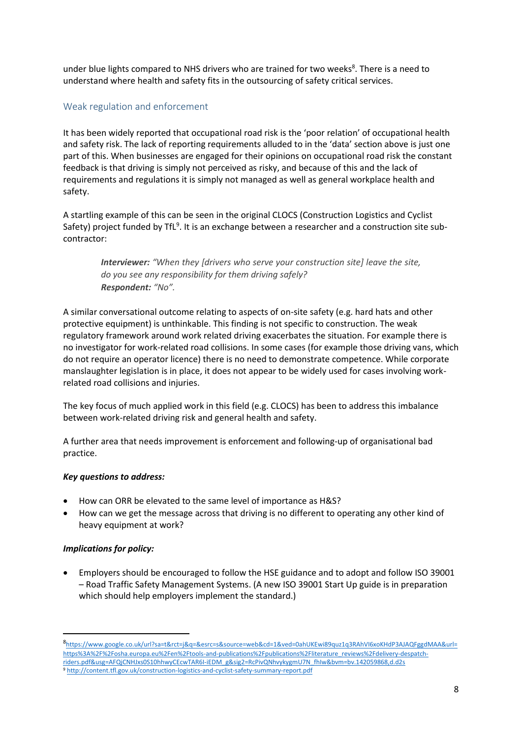under blue lights compared to NHS drivers who are trained for two weeks<sup>8</sup>. There is a need to understand where health and safety fits in the outsourcing of safety critical services.

## <span id="page-7-0"></span>Weak regulation and enforcement

It has been widely reported that occupational road risk is the 'poor relation' of occupational health and safety risk. The lack of reporting requirements alluded to in the 'data' section above is just one part of this. When businesses are engaged for their opinions on occupational road risk the constant feedback is that driving is simply not perceived as risky, and because of this and the lack of requirements and regulations it is simply not managed as well as general workplace health and safety.

A startling example of this can be seen in the original CLOCS (Construction Logistics and Cyclist Safety) project funded by TfL<sup>9</sup>. It is an exchange between a researcher and a construction site subcontractor:

*Interviewer: "When they [drivers who serve your construction site] leave the site, do you see any responsibility for them driving safely? Respondent: "No".*

A similar conversational outcome relating to aspects of on-site safety (e.g. hard hats and other protective equipment) is unthinkable. This finding is not specific to construction. The weak regulatory framework around work related driving exacerbates the situation. For example there is no investigator for work-related road collisions. In some cases (for example those driving vans, which do not require an operator licence) there is no need to demonstrate competence. While corporate manslaughter legislation is in place, it does not appear to be widely used for cases involving workrelated road collisions and injuries.

The key focus of much applied work in this field (e.g. CLOCS) has been to address this imbalance between work-related driving risk and general health and safety.

A further area that needs improvement is enforcement and following-up of organisational bad practice.

#### *Key questions to address:*

- How can ORR be elevated to the same level of importance as H&S?
- How can we get the message across that driving is no different to operating any other kind of heavy equipment at work?

#### *Implications for policy:*

**.** 

 Employers should be encouraged to follow the HSE guidance and to adopt and follow ISO 39001 – Road Traffic Safety Management Systems. (A new ISO 39001 Start Up guide is in preparation which should help employers implement the standard.)

<sup>8</sup> [https://www.google.co.uk/url?sa=t&rct=j&q=&esrc=s&source=web&cd=1&ved=0ahUKEwi89quz1q3RAhVI6xoKHdP3AJAQFggdMAA&url=](https://www.google.co.uk/url?sa=t&rct=j&q=&esrc=s&source=web&cd=1&ved=0ahUKEwi89quz1q3RAhVI6xoKHdP3AJAQFggdMAA&url=https%3A%2F%2Fosha.europa.eu%2Fen%2Ftools-and-publications%2Fpublications%2Fliterature_reviews%2Fdelivery-despatch-riders.pdf&usg=AFQjCNHJxs0S10hhwyCEcwTAR6I-iEDM_g&sig2=RcPivQNhvykygmU7N_fhIw&bvm=bv.142059868,d.d2s) [https%3A%2F%2Fosha.europa.eu%2Fen%2Ftools-and-publications%2Fpublications%2Fliterature\\_reviews%2Fdelivery-despatch](https://www.google.co.uk/url?sa=t&rct=j&q=&esrc=s&source=web&cd=1&ved=0ahUKEwi89quz1q3RAhVI6xoKHdP3AJAQFggdMAA&url=https%3A%2F%2Fosha.europa.eu%2Fen%2Ftools-and-publications%2Fpublications%2Fliterature_reviews%2Fdelivery-despatch-riders.pdf&usg=AFQjCNHJxs0S10hhwyCEcwTAR6I-iEDM_g&sig2=RcPivQNhvykygmU7N_fhIw&bvm=bv.142059868,d.d2s)[riders.pdf&usg=AFQjCNHJxs0S10hhwyCEcwTAR6I-iEDM\\_g&sig2=RcPivQNhvykygmU7N\\_fhIw&bvm=bv.142059868,d.d2s](https://www.google.co.uk/url?sa=t&rct=j&q=&esrc=s&source=web&cd=1&ved=0ahUKEwi89quz1q3RAhVI6xoKHdP3AJAQFggdMAA&url=https%3A%2F%2Fosha.europa.eu%2Fen%2Ftools-and-publications%2Fpublications%2Fliterature_reviews%2Fdelivery-despatch-riders.pdf&usg=AFQjCNHJxs0S10hhwyCEcwTAR6I-iEDM_g&sig2=RcPivQNhvykygmU7N_fhIw&bvm=bv.142059868,d.d2s) <sup>9</sup> <http://content.tfl.gov.uk/construction-logistics-and-cyclist-safety-summary-report.pdf>